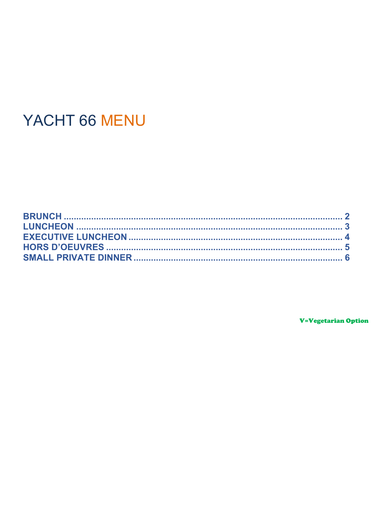# YACHT 66 MENU

**V=Vegetarian Option**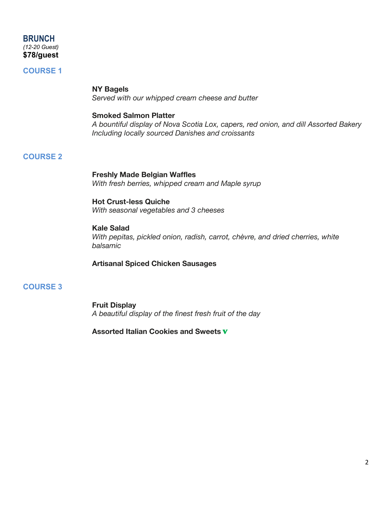# **BRUNCH** *(12-20 Guest)* **\$78/guest**

# **COURSE 1**

# **NY Bagels**

*Served with our whipped cream cheese and butter*

### **Smoked Salmon Platter**

*A bountiful display of Nova Scotia Lox, capers, red onion, and dill Assorted Bakery Including locally sourced Danishes and croissants*

# **COURSE 2**

# **Freshly Made Belgian Waffles** *With fresh berries, whipped cream and Maple syrup*

#### **Hot Crust-less Quiche**

*With seasonal vegetables and 3 cheeses*

## **Kale Salad**

*With pepitas, pickled onion, radish, carrot, chèvre, and dried cherries, white balsamic*

## **Artisanal Spiced Chicken Sausages**

# **COURSE 3**

**Fruit Display**  *A beautiful display of the finest fresh fruit of the day* 

**Assorted Italian Cookies and Sweets** V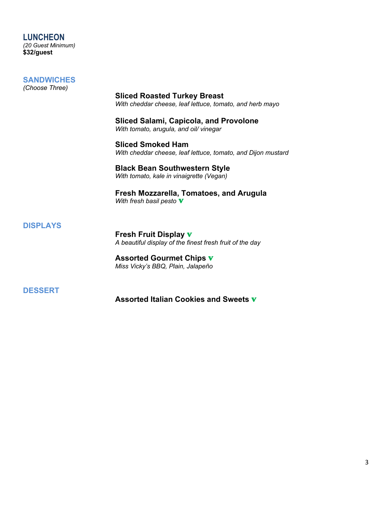#### **LUNCHEON** *(20 Guest Minimum)* **\$32/guest**

# **SANDWICHES**

*(Choose Three)*

**Sliced Roasted Turkey Breast**  *With cheddar cheese, leaf lettuce, tomato, and herb mayo*

**Sliced Salami, Capicola, and Provolone** *With tomato, arugula, and oil/ vinegar*

**Sliced Smoked Ham** *With cheddar cheese, leaf lettuce, tomato, and Dijon mustard*

**Black Bean Southwestern Style** *With tomato, kale in vinaigrette (Vegan)*

**Fresh Mozzarella, Tomatoes, and Arugula** *With fresh basil pesto* V

# **DISPLAYS**

**Fresh Fruit Display** V *A beautiful display of the finest fresh fruit of the day* 

**Assorted Gourmet Chips** V *Miss Vicky's BBQ, Plain, Jalapeño*

**DESSERT**

**Assorted Italian Cookies and Sweets** V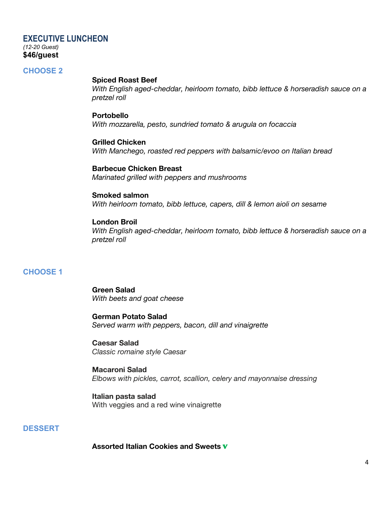# **EXECUTIVE LUNCHEON** *(12-20 Guest)* **\$46/guest**

## **CHOOSE 2**

#### **Spiced Roast Beef**

*With English aged-cheddar, heirloom tomato, bibb lettuce & horseradish sauce on a pretzel roll*

#### **Portobello**

*With mozzarella, pesto, sundried tomato & arugula on focaccia*

**Grilled Chicken** *With Manchego, roasted red peppers with balsamic/evoo on Italian bread*

**Barbecue Chicken Breast** *Marinated grilled with peppers and mushrooms*

# **Smoked salmon**

*With heirloom tomato, bibb lettuce, capers, dill & lemon aioli on sesame*

## **London Broil**

*With English aged-cheddar, heirloom tomato, bibb lettuce & horseradish sauce on a pretzel roll*

# **CHOOSE 1**

**Green Salad** *With beets and goat cheese*

**German Potato Salad** *Served warm with peppers, bacon, dill and vinaigrette*

**Caesar Salad** *Classic romaine style Caesar*

**Macaroni Salad** *Elbows with pickles, carrot, scallion, celery and mayonnaise dressing*

**Italian pasta salad** With veggies and a red wine vinaigrette

# **DESSERT**

**Assorted Italian Cookies and Sweets** V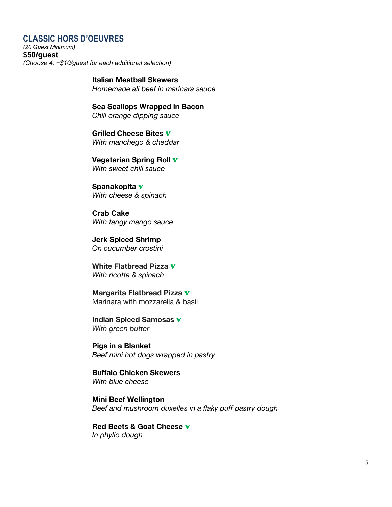# **CLASSIC HORS D'OEUVRES**

*(20 Guest Minimum)* **\$50/guest** *(Choose 4; +\$10/guest for each additional selection)*

> **Italian Meatball Skewers** *Homemade all beef in marinara sauce*

**Sea Scallops Wrapped in Bacon** *Chili orange dipping sauce*

**Grilled Cheese Bites** V *With manchego & cheddar*

**Vegetarian Spring Roll** V *With sweet chili sauce*

**Spanakopita** V *With cheese & spinach*

**Crab Cake** *With tangy mango sauce*

**Jerk Spiced Shrimp** *On cucumber crostini*

**White Flatbread Pizza** V *With ricotta & spinach*

**Margarita Flatbread Pizza** V Marinara with mozzarella & basil

**Indian Spiced Samosas** V *With green butter*

**Pigs in a Blanket**  *Beef mini hot dogs wrapped in pastry*

**Buffalo Chicken Skewers** *With blue cheese* 

**Mini Beef Wellington** *Beef and mushroom duxelles in a flaky puff pastry dough*

**Red Beets & Goat Cheese** V *In phyllo dough*